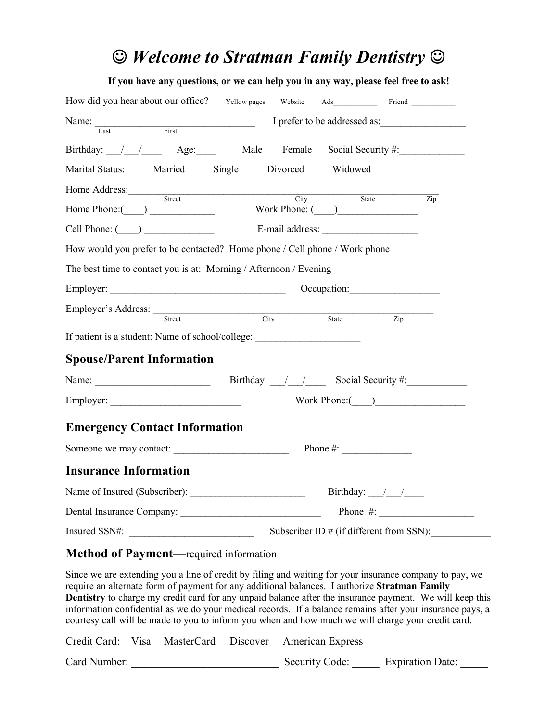# $\odot$  *Welcome to Stratman Family Dentistry*  $\odot$

| If you have any questions, or we can help you in any way, please feel free to ask!                                                                                                                                            |  |                                            |
|-------------------------------------------------------------------------------------------------------------------------------------------------------------------------------------------------------------------------------|--|--------------------------------------------|
| How did you hear about our office? Yellow pages Website Ads__________ Friend _________                                                                                                                                        |  |                                            |
| Name: Last First I prefer to be addressed as:                                                                                                                                                                                 |  |                                            |
|                                                                                                                                                                                                                               |  |                                            |
| Birthday: / / Age: Male Female                                                                                                                                                                                                |  | Social Security #:                         |
| Marital Status: Married Single Divorced Widowed                                                                                                                                                                               |  |                                            |
| Home Address: Street City                                                                                                                                                                                                     |  | State                                      |
| Home Phone: (Campbell Compared Vork Phone: (Campbell Compared Vork Phone: (Campbell Compared Vork Phone: (Campbell Compared Vork Phone: (Campbell Compared Vork Phone: (Campbell Compared Vork Phone: (Campbell Compared Vork |  | $\overline{Zip}$                           |
| Cell Phone: (Coll 2010) E-mail address:                                                                                                                                                                                       |  |                                            |
| How would you prefer to be contacted? Home phone / Cell phone / Work phone                                                                                                                                                    |  |                                            |
| The best time to contact you is at: Morning / Afternoon / Evening                                                                                                                                                             |  |                                            |
|                                                                                                                                                                                                                               |  | Occupation:                                |
| Employer's Address: <u>Street City</u> State                                                                                                                                                                                  |  |                                            |
|                                                                                                                                                                                                                               |  | $\overline{Zip}$                           |
| If patient is a student: Name of school/college:                                                                                                                                                                              |  |                                            |
| <b>Spouse/Parent Information</b>                                                                                                                                                                                              |  |                                            |
|                                                                                                                                                                                                                               |  |                                            |
|                                                                                                                                                                                                                               |  | Work Phone: $($ )                          |
| <b>Emergency Contact Information</b>                                                                                                                                                                                          |  |                                            |
|                                                                                                                                                                                                                               |  |                                            |
|                                                                                                                                                                                                                               |  |                                            |
| <b>Insurance Information</b>                                                                                                                                                                                                  |  |                                            |
|                                                                                                                                                                                                                               |  |                                            |
| Dental Insurance Company: Dental Insurance Company:                                                                                                                                                                           |  |                                            |
| Insured SSN#:                                                                                                                                                                                                                 |  | Subscriber ID $#$ (if different from SSN): |

#### **Method of Payment—**required information

Since we are extending you a line of credit by filing and waiting for your insurance company to pay, we require an alternate form of payment for any additional balances. I authorize **Stratman Family Dentistry** to charge my credit card for any unpaid balance after the insurance payment. We will keep this information confidential as we do your medical records. If a balance remains after your insurance pays, a courtesy call will be made to you to inform you when and how much we will charge your credit card.

|              |  | Credit Card: Visa MasterCard Discover American Express |                         |  |
|--------------|--|--------------------------------------------------------|-------------------------|--|
| Card Number: |  | Security Code:                                         | <b>Expiration Date:</b> |  |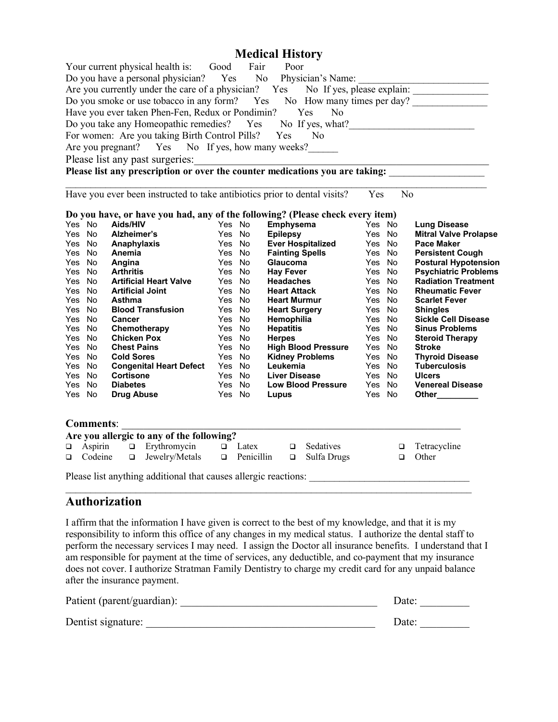### **Medical History**

|        |                  |                      | Your current physical health is: Good Fair Poor<br>Do you have a personal physician? Yes No Physician's Name:<br>Have you ever taken Phen-Fen, Redux or Pondimin? Yes<br>Do you take any Homeopathic remedies? Yes No If yes, what?<br>For women: Are you taking Birth Control Pills? Yes No |        |        |                  | N <sub>0</sub>                           |        |        | Do you have a personal physician? Yes No Physician's Name:<br>Are you currently under the care of a physician? Yes No If yes, please explain: ______________________________<br>Do you smoke or use tobacco in any form? Yes No How many times per day? |
|--------|------------------|----------------------|----------------------------------------------------------------------------------------------------------------------------------------------------------------------------------------------------------------------------------------------------------------------------------------------|--------|--------|------------------|------------------------------------------|--------|--------|---------------------------------------------------------------------------------------------------------------------------------------------------------------------------------------------------------------------------------------------------------|
|        |                  |                      | Are you pregnant? Yes No If yes, how many weeks?                                                                                                                                                                                                                                             |        |        |                  |                                          |        |        |                                                                                                                                                                                                                                                         |
|        |                  |                      |                                                                                                                                                                                                                                                                                              |        |        |                  |                                          |        |        |                                                                                                                                                                                                                                                         |
|        |                  |                      |                                                                                                                                                                                                                                                                                              |        |        |                  |                                          |        |        | Please list any past surgeries:<br>Please list any prescription or over the counter medications you are taking:                                                                                                                                         |
|        |                  |                      |                                                                                                                                                                                                                                                                                              |        |        |                  |                                          |        |        |                                                                                                                                                                                                                                                         |
|        |                  |                      | Have you ever been instructed to take antibiotics prior to dental visits?                                                                                                                                                                                                                    |        |        |                  |                                          | Yes    |        | N <sub>0</sub>                                                                                                                                                                                                                                          |
|        |                  |                      | Do you have, or have you had, any of the following? (Please check every item)                                                                                                                                                                                                                |        |        |                  |                                          |        |        |                                                                                                                                                                                                                                                         |
|        | Yes No           | Aids/HIV             |                                                                                                                                                                                                                                                                                              | Yes No |        |                  | <b>Emphysema</b>                         | Yes No |        | <b>Lung Disease</b>                                                                                                                                                                                                                                     |
|        | Yes No           | Alzheimer's          |                                                                                                                                                                                                                                                                                              | Yes No |        |                  | Epilepsy<br>Ever Hospitalized            | Yes No |        | <b>Mitral Valve Prolapse</b>                                                                                                                                                                                                                            |
|        | Yes No           | Anaphylaxis          |                                                                                                                                                                                                                                                                                              |        | Yes No |                  |                                          | Yes No |        | <b>Pace Maker</b>                                                                                                                                                                                                                                       |
|        | Yes No           | Anemia               |                                                                                                                                                                                                                                                                                              | Yes No |        |                  | Fainting Spells<br>Glaucoma<br>Hay Fever | Yes No |        | <b>Persistent Cough</b>                                                                                                                                                                                                                                 |
|        | Yes No           | Angina               |                                                                                                                                                                                                                                                                                              | Yes No |        |                  |                                          | Yes No |        | <b>Postural Hypotension</b>                                                                                                                                                                                                                             |
|        | Yes No           | <b>Arthritis</b>     |                                                                                                                                                                                                                                                                                              |        | Yes No | <b>Hay Fever</b> |                                          | Yes No |        | <b>Psychiatric Problems</b>                                                                                                                                                                                                                             |
|        | Yes No           |                      | <b>Artificial Heart Valve</b>                                                                                                                                                                                                                                                                | Yes No |        |                  | <b>Headaches</b>                         | Yes No |        | <b>Radiation Treatment</b>                                                                                                                                                                                                                              |
|        | Yes No           |                      | <b>Artificial Joint</b>                                                                                                                                                                                                                                                                      | Yes No |        |                  | Heart Attack                             | Yes No |        | <b>Rheumatic Fever</b>                                                                                                                                                                                                                                  |
|        | Yes No           | <b>Asthma</b>        |                                                                                                                                                                                                                                                                                              | Yes No |        |                  | <b>Heart Murmur</b>                      | Yes No |        | <b>Scarlet Fever</b>                                                                                                                                                                                                                                    |
|        | Yes No           |                      | <b>Blood Transfusion</b>                                                                                                                                                                                                                                                                     | Yes No |        |                  | Heart Surgery<br>Hemophilia              | Yes No |        | <b>Shingles</b>                                                                                                                                                                                                                                         |
|        | Yes No           | Cancer               |                                                                                                                                                                                                                                                                                              | Yes No |        |                  |                                          | Yes No |        | <b>Sickle Cell Disease</b>                                                                                                                                                                                                                              |
|        | Yes No           |                      | Chemotherapy                                                                                                                                                                                                                                                                                 | Yes No |        | <b>Hepatitis</b> |                                          | Yes No |        | <b>Sinus Problems</b>                                                                                                                                                                                                                                   |
|        | Yes No           | <b>Chicken Pox</b>   |                                                                                                                                                                                                                                                                                              | Yes No |        | <b>Herpes</b>    |                                          | Yes No |        | <b>Steroid Therapy</b>                                                                                                                                                                                                                                  |
|        | Yes No           | <b>Chest Pains</b>   |                                                                                                                                                                                                                                                                                              | Yes No |        |                  | <b>High Blood Pressure</b>               | Yes No |        | <b>Stroke</b>                                                                                                                                                                                                                                           |
|        | Yes No           | <b>Cold Sores</b>    |                                                                                                                                                                                                                                                                                              | Yes No |        |                  | <b>Kidney Problems</b>                   | Yes No |        | <b>Thyroid Disease</b>                                                                                                                                                                                                                                  |
|        | Yes No           |                      | <b>Congenital Heart Defect</b>                                                                                                                                                                                                                                                               |        | Yes No | Leukemia         |                                          | Yes No |        | <b>Tuberculosis</b>                                                                                                                                                                                                                                     |
|        | Yes No           | Cortisone            |                                                                                                                                                                                                                                                                                              |        | Yes No |                  | <b>Liver Disease</b>                     | Yes No |        | <b>Ulcers</b>                                                                                                                                                                                                                                           |
|        | Yes No           | <b>Diabetes</b>      |                                                                                                                                                                                                                                                                                              |        | Yes No |                  | <b>Low Blood Pressure</b>                | Yes No |        | <b>Venereal Disease</b>                                                                                                                                                                                                                                 |
|        | Yes No           | <b>Drug Abuse</b>    |                                                                                                                                                                                                                                                                                              |        | Yes No | Lupus            |                                          | Yes No |        | Other________                                                                                                                                                                                                                                           |
|        | <b>Comments:</b> |                      |                                                                                                                                                                                                                                                                                              |        |        |                  |                                          |        |        |                                                                                                                                                                                                                                                         |
|        |                  |                      | Are you allergic to any of the following?                                                                                                                                                                                                                                                    |        |        |                  |                                          |        |        |                                                                                                                                                                                                                                                         |
| $\Box$ |                  | Aspirin              | $\Box$ Erythromycin $\Box$ Latex                                                                                                                                                                                                                                                             |        |        |                  | $\Box$ Sedatives                         |        | $\Box$ | Tetracycline                                                                                                                                                                                                                                            |
| $\Box$ |                  | Codeine<br>$\Box$    | Jewelry/Metals <b>Q</b> Penicillin <b>Q</b> Sulfa Drugs                                                                                                                                                                                                                                      |        |        |                  |                                          |        | $\Box$ | Other                                                                                                                                                                                                                                                   |
|        |                  |                      |                                                                                                                                                                                                                                                                                              |        |        |                  |                                          |        |        |                                                                                                                                                                                                                                                         |
|        |                  | <b>Authorization</b> |                                                                                                                                                                                                                                                                                              |        |        |                  |                                          |        |        |                                                                                                                                                                                                                                                         |

I affirm that the information I have given is correct to the best of my knowledge, and that it is my responsibility to inform this office of any changes in my medical status. I authorize the dental staff to perform the necessary services I may need. I assign the Doctor all insurance benefits. I understand that I am responsible for payment at the time of services, any deductible, and co-payment that my insurance does not cover. I authorize Stratman Family Dentistry to charge my credit card for any unpaid balance after the insurance payment.

| Patient (parent/guardian): | Date: |
|----------------------------|-------|
| Dentist signature:         | Date: |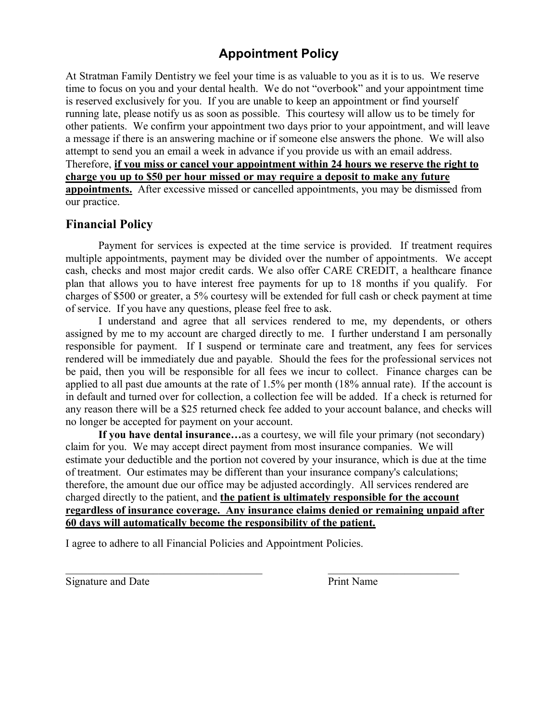### **Appointment Policy**

At Stratman Family Dentistry we feel your time is as valuable to you as it is to us. We reserve time to focus on you and your dental health. We do not "overbook" and your appointment time is reserved exclusively for you. If you are unable to keep an appointment or find yourself running late, please notify us as soon as possible. This courtesy will allow us to be timely for other patients. We confirm your appointment two days prior to your appointment, and will leave a message if there is an answering machine or if someone else answers the phone. We will also attempt to send you an email a week in advance if you provide us with an email address. Therefore, **if you miss or cancel your appointment within 24 hours we reserve the right to charge you up to \$50 per hour missed or may require a deposit to make any future appointments.** After excessive missed or cancelled appointments, you may be dismissed from our practice.

### **Financial Policy**

Payment for services is expected at the time service is provided. If treatment requires multiple appointments, payment may be divided over the number of appointments. We accept cash, checks and most major credit cards. We also offer CARE CREDIT, a healthcare finance plan that allows you to have interest free payments for up to 18 months if you qualify. For charges of \$500 or greater, a 5% courtesy will be extended for full cash or check payment at time of service. If you have any questions, please feel free to ask.

I understand and agree that all services rendered to me, my dependents, or others assigned by me to my account are charged directly to me. I further understand I am personally responsible for payment. If I suspend or terminate care and treatment, any fees for services rendered will be immediately due and payable. Should the fees for the professional services not be paid, then you will be responsible for all fees we incur to collect. Finance charges can be applied to all past due amounts at the rate of 1.5% per month (18% annual rate). If the account is in default and turned over for collection, a collection fee will be added. If a check is returned for any reason there will be a \$25 returned check fee added to your account balance, and checks will no longer be accepted for payment on your account.

**If you have dental insurance…**as a courtesy, we will file your primary (not secondary) claim for you. We may accept direct payment from most insurance companies. We will estimate your deductible and the portion not covered by your insurance, which is due at the time of treatment. Our estimates may be different than your insurance company's calculations; therefore, the amount due our office may be adjusted accordingly. All services rendered are charged directly to the patient, and **the patient is ultimately responsible for the account regardless of insurance coverage. Any insurance claims denied or remaining unpaid after 60 days will automatically become the responsibility of the patient.**

I agree to adhere to all Financial Policies and Appointment Policies.

Signature and Date Print Name

 $\mathcal{L}_\text{max}$  , and the contribution of the contribution of the contribution of the contribution of the contribution of the contribution of the contribution of the contribution of the contribution of the contribution of t